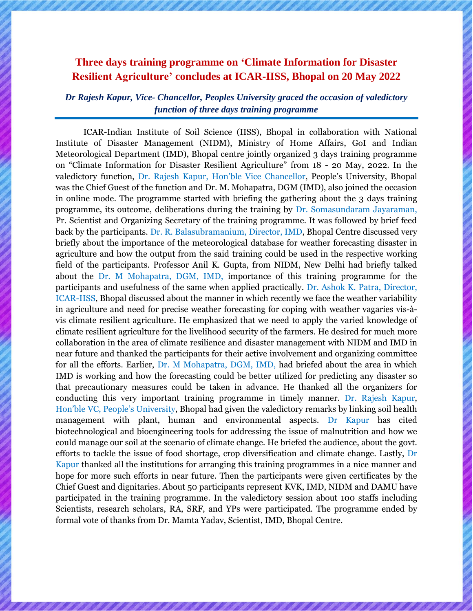## **Three days training programme on 'Climate Information for Disaster Resilient Agriculture' concludes at ICAR-IISS, Bhopal on 20 May 2022**

*Dr Rajesh Kapur, Vice- Chancellor, Peoples University graced the occasion of valedictory function of three days training programme*

ICAR-Indian Institute of Soil Science (IISS), Bhopal in collaboration with National Institute of Disaster Management (NIDM), Ministry of Home Affairs, GoI and Indian Meteorological Department (IMD), Bhopal centre jointly organized 3 days training programme on "Climate Information for Disaster Resilient Agriculture" from 18 - 20 May, 2022. In the valedictory function, Dr. Rajesh Kapur, Hon'ble Vice Chancellor, People's University, Bhopal was the Chief Guest of the function and Dr. M. Mohapatra, DGM (IMD), also joined the occasion in online mode. The programme started with briefing the gathering about the 3 days training programme, its outcome, deliberations during the training by Dr. Somasundaram Jayaraman, Pr. Scientist and Organizing Secretary of the training programme. It was followed by brief feed back by the participants. Dr. R. Balasubramanium, Director, IMD, Bhopal Centre discussed very briefly about the importance of the meteorological database for weather forecasting disaster in agriculture and how the output from the said training could be used in the respective working field of the participants. Professor Anil K. Gupta, from NIDM, New Delhi had briefly talked about the Dr. M Mohapatra, DGM, IMD, importance of this training programme for the participants and usefulness of the same when applied practically. Dr. Ashok K. Patra, Director, ICAR-IISS, Bhopal discussed about the manner in which recently we face the weather variability in agriculture and need for precise weather forecasting for coping with weather vagaries vis-àvis climate resilient agriculture. He emphasized that we need to apply the varied knowledge of climate resilient agriculture for the livelihood security of the farmers. He desired for much more collaboration in the area of climate resilience and disaster management with NIDM and IMD in near future and thanked the participants for their active involvement and organizing committee for all the efforts. Earlier, Dr. M Mohapatra, DGM, IMD, had briefed about the area in which IMD is working and how the forecasting could be better utilized for predicting any disaster so that precautionary measures could be taken in advance. He thanked all the organizers for conducting this very important training programme in timely manner. Dr. Rajesh Kapur, Hon'ble VC, People's University, Bhopal had given the valedictory remarks by linking soil health management with plant, human and environmental aspects. Dr Kapur has cited biotechnological and bioengineering tools for addressing the issue of malnutrition and how we could manage our soil at the scenario of climate change. He briefed the audience, about the govt. efforts to tackle the issue of food shortage, crop diversification and climate change. Lastly, Dr Kapur thanked all the institutions for arranging this training programmes in a nice manner and hope for more such efforts in near future. Then the participants were given certificates by the Chief Guest and dignitaries. About 50 participants represent KVK, IMD, NIDM and DAMU have participated in the training programme. In the valedictory session about 100 staffs including Scientists, research scholars, RA, SRF, and YPs were participated. The programme ended by formal vote of thanks from Dr. Mamta Yadav, Scientist, IMD, Bhopal Centre.